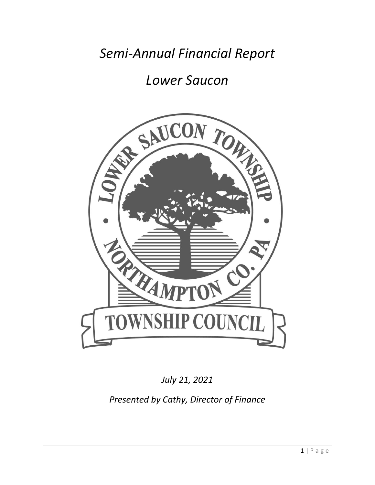*Semi-Annual Financial Report* 

# *Lower Saucon*



*July 21, 2021*

*Presented by Cathy, Director of Finance*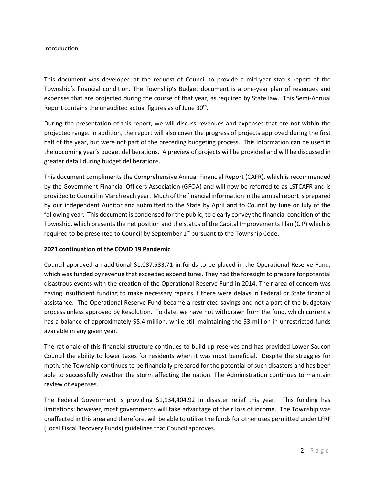#### Introduction

This document was developed at the request of Council to provide a mid-year status report of the Township's financial condition. The Township's Budget document is a one-year plan of revenues and expenses that are projected during the course of that year, as required by State law. This Semi-Annual Report contains the unaudited actual figures as of June 30<sup>th</sup>.

During the presentation of this report, we will discuss revenues and expenses that are not within the projected range. In addition, the report will also cover the progress of projects approved during the first half of the year, but were not part of the preceding budgeting process. This information can be used in the upcoming year's budget deliberations. A preview of projects will be provided and will be discussed in greater detail during budget deliberations.

This document compliments the Comprehensive Annual Financial Report (CAFR), which is recommended by the Government Financial Officers Association (GFOA) and will now be referred to as LSTCAFR and is provided to Council in March each year. Much of the financial information in the annual report is prepared by our independent Auditor and submitted to the State by April and to Council by June or July of the following year. This document is condensed for the public, to clearly convey the financial condition of the Township, which presents the net position and the status of the Capital Improvements Plan (CIP) which is required to be presented to Council by September  $1<sup>st</sup>$  pursuant to the Township Code.

#### **2021 continuation of the COVID 19 Pandemic**

Council approved an additional \$1,087,583.71 in funds to be placed in the Operational Reserve Fund, which was funded by revenue that exceeded expenditures. They had the foresight to prepare for potential disastrous events with the creation of the Operational Reserve Fund in 2014. Their area of concern was having insufficient funding to make necessary repairs if there were delays in Federal or State financial assistance. The Operational Reserve Fund became a restricted savings and not a part of the budgetary process unless approved by Resolution. To date, we have not withdrawn from the fund, which currently has a balance of approximately \$5.4 million, while still maintaining the \$3 million in unrestricted funds available in any given year.

The rationale of this financial structure continues to build up reserves and has provided Lower Saucon Council the ability to lower taxes for residents when it was most beneficial. Despite the struggles for moth, the Township continues to be financially prepared for the potential of such disasters and has been able to successfully weather the storm affecting the nation. The Administration continues to maintain review of expenses.

The Federal Government is providing \$1,134,404.92 in disaster relief this year. This funding has limitations; however, most governments will take advantage of their loss of income. The Township was unaffected in this area and therefore, will be able to utilize the funds for other uses permitted under LFRF (Local Fiscal Recovery Funds) guidelines that Council approves.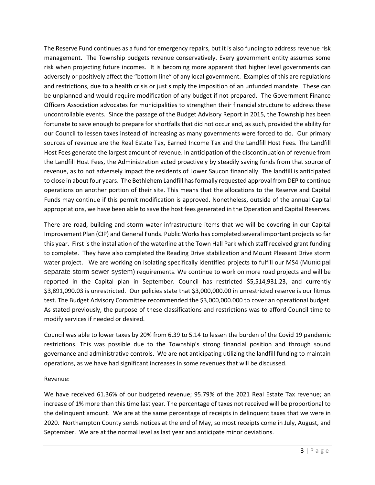The Reserve Fund continues as a fund for emergency repairs, but it is also funding to address revenue risk management. The Township budgets revenue conservatively. Every government entity assumes some risk when projecting future incomes. It is becoming more apparent that higher level governments can adversely or positively affect the "bottom line" of any local government. Examples of this are regulations and restrictions, due to a health crisis or just simply the imposition of an unfunded mandate. These can be unplanned and would require modification of any budget if not prepared. The Government Finance Officers Association advocates for municipalities to strengthen their financial structure to address these uncontrollable events. Since the passage of the Budget Advisory Report in 2015, the Township has been fortunate to save enough to prepare for shortfalls that did not occur and, as such, provided the ability for our Council to lessen taxes instead of increasing as many governments were forced to do. Our primary sources of revenue are the Real Estate Tax, Earned Income Tax and the Landfill Host Fees. The Landfill Host Fees generate the largest amount of revenue. In anticipation of the discontinuation of revenue from the Landfill Host Fees, the Administration acted proactively by steadily saving funds from that source of revenue, as to not adversely impact the residents of Lower Saucon financially. The landfill is anticipated to close in about four years. The Bethlehem Landfill has formally requested approval from DEP to continue operations on another portion of their site. This means that the allocations to the Reserve and Capital Funds may continue if this permit modification is approved. Nonetheless, outside of the annual Capital appropriations, we have been able to save the host fees generated in the Operation and Capital Reserves.

There are road, building and storm water infrastructure items that we will be covering in our Capital Improvement Plan (CIP) and General Funds. Public Works has completed several important projects so far this year. First is the installation of the waterline at the Town Hall Park which staff received grant funding to complete. They have also completed the Reading Drive stabilization and Mount Pleasant Drive storm water project. We are working on isolating specifically identified projects to fulfill our MS4 (Municipal separate storm sewer system) requirements. We continue to work on more road projects and will be reported in the Capital plan in September. Council has restricted \$5,514,931.23, and currently \$3,891,090.03 is unrestricted. Our policies state that \$3,000,000.00 in unrestricted reserve is our litmus test. The Budget Advisory Committee recommended the \$3,000,000.000 to cover an operational budget. As stated previously, the purpose of these classifications and restrictions was to afford Council time to modify services if needed or desired.

Council was able to lower taxes by 20% from 6.39 to 5.14 to lessen the burden of the Covid 19 pandemic restrictions. This was possible due to the Township's strong financial position and through sound governance and administrative controls. We are not anticipating utilizing the landfill funding to maintain operations, as we have had significant increases in some revenues that will be discussed.

#### Revenue:

We have received 61.36% of our budgeted revenue; 95.79% of the 2021 Real Estate Tax revenue; an increase of 1% more than this time last year. The percentage of taxes not received will be proportional to the delinquent amount. We are at the same percentage of receipts in delinquent taxes that we were in 2020. Northampton County sends notices at the end of May, so most receipts come in July, August, and September. We are at the normal level as last year and anticipate minor deviations.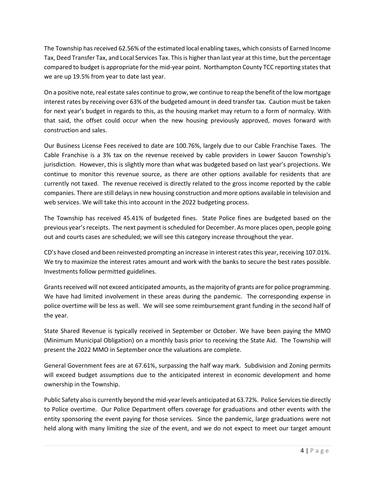The Township has received 62.56% of the estimated local enabling taxes, which consists of Earned Income Tax, Deed Transfer Tax, and Local Services Tax. This is higher than last year at this time, but the percentage compared to budget is appropriate for the mid-year point. Northampton County TCC reporting states that we are up 19.5% from year to date last year.

On a positive note, real estate sales continue to grow, we continue to reap the benefit of the low mortgage interest rates by receiving over 63% of the budgeted amount in deed transfer tax. Caution must be taken for next year's budget in regards to this, as the housing market may return to a form of normalcy. With that said, the offset could occur when the new housing previously approved, moves forward with construction and sales.

Our Business License Fees received to date are 100.76%, largely due to our Cable Franchise Taxes. The Cable Franchise is a 3% tax on the revenue received by cable providers in Lower Saucon Township's jurisdiction. However, this is slightly more than what was budgeted based on last year's projections. We continue to monitor this revenue source, as there are other options available for residents that are currently not taxed. The revenue received is directly related to the gross income reported by the cable companies. There are still delays in new housing construction and more options available in television and web services. We will take this into account in the 2022 budgeting process.

The Township has received 45.41% of budgeted fines. State Police fines are budgeted based on the previous year's receipts. The next payment is scheduled for December. As more places open, people going out and courts cases are scheduled; we will see this category increase throughout the year.

CD's have closed and been reinvested prompting an increase in interest rates this year, receiving 107.01%. We try to maximize the interest rates amount and work with the banks to secure the best rates possible. Investments follow permitted guidelines.

Grants received will not exceed anticipated amounts, as the majority of grants are for police programming. We have had limited involvement in these areas during the pandemic. The corresponding expense in police overtime will be less as well. We will see some reimbursement grant funding in the second half of the year.

State Shared Revenue is typically received in September or October. We have been paying the MMO (Minimum Municipal Obligation) on a monthly basis prior to receiving the State Aid. The Township will present the 2022 MMO in September once the valuations are complete.

General Government fees are at 67.61%, surpassing the half way mark. Subdivision and Zoning permits will exceed budget assumptions due to the anticipated interest in economic development and home ownership in the Township.

Public Safety also is currently beyond the mid-year levels anticipated at 63.72%. Police Services tie directly to Police overtime. Our Police Department offers coverage for graduations and other events with the entity sponsoring the event paying for those services. Since the pandemic, large graduations were not held along with many limiting the size of the event, and we do not expect to meet our target amount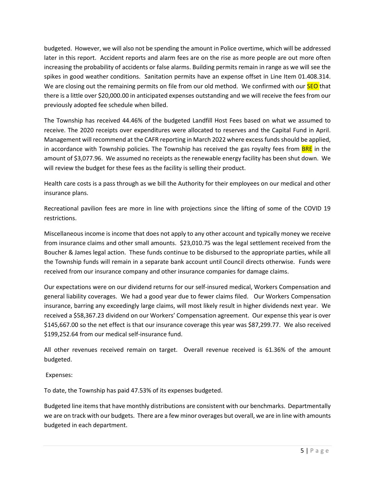budgeted. However, we will also not be spending the amount in Police overtime, which will be addressed later in this report. Accident reports and alarm fees are on the rise as more people are out more often increasing the probability of accidents or false alarms. Building permits remain in range as we will see the spikes in good weather conditions. Sanitation permits have an expense offset in Line Item 01.408.314. We are closing out the remaining permits on file from our old method. We confirmed with our **SEO** that there is a little over \$20,000.00 in anticipated expenses outstanding and we will receive the fees from our previously adopted fee schedule when billed.

The Township has received 44.46% of the budgeted Landfill Host Fees based on what we assumed to receive. The 2020 receipts over expenditures were allocated to reserves and the Capital Fund in April. Management will recommend at the CAFR reporting in March 2022 where excess funds should be applied, in accordance with Township policies. The Township has received the gas royalty fees from **BRE** in the amount of \$3,077.96. We assumed no receipts as the renewable energy facility has been shut down. We will review the budget for these fees as the facility is selling their product.

Health care costs is a pass through as we bill the Authority for their employees on our medical and other insurance plans.

Recreational pavilion fees are more in line with projections since the lifting of some of the COVID 19 restrictions.

Miscellaneous income is income that does not apply to any other account and typically money we receive from insurance claims and other small amounts. \$23,010.75 was the legal settlement received from the Boucher & James legal action. These funds continue to be disbursed to the appropriate parties, while all the Township funds will remain in a separate bank account until Council directs otherwise. Funds were received from our insurance company and other insurance companies for damage claims.

Our expectations were on our dividend returns for our self-insured medical, Workers Compensation and general liability coverages. We had a good year due to fewer claims filed. Our Workers Compensation insurance, barring any exceedingly large claims, will most likely result in higher dividends next year. We received a \$58,367.23 dividend on our Workers' Compensation agreement. Our expense this year is over \$145,667.00 so the net effect is that our insurance coverage this year was \$87,299.77. We also received \$199,252.64 from our medical self-insurance fund.

All other revenues received remain on target. Overall revenue received is 61.36% of the amount budgeted.

Expenses:

To date, the Township has paid 47.53% of its expenses budgeted.

Budgeted line itemsthat have monthly distributions are consistent with our benchmarks. Departmentally we are on track with our budgets. There are a few minor overages but overall, we are in line with amounts budgeted in each department.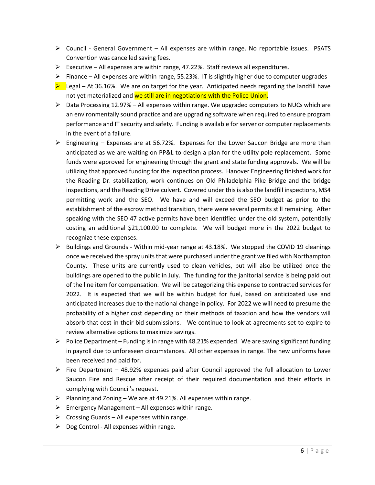- $\triangleright$  Council General Government All expenses are within range. No reportable issues. PSATS Convention was cancelled saving fees.
- Executive All expenses are within range, 47.22%. Staff reviews all expenditures.
- $\triangleright$  Finance All expenses are within range, 55.23%. IT is slightly higher due to computer upgrades
- $\blacktriangleright$  Legal At 36.16%. We are on target for the year. Anticipated needs regarding the landfill have not yet materialized and we still are in negotiations with the Police Union.
- $\triangleright$  Data Processing 12.97% All expenses within range. We upgraded computers to NUCs which are an environmentally sound practice and are upgrading software when required to ensure program performance and IT security and safety. Funding is available for server or computer replacements in the event of a failure.
- $\triangleright$  Engineering Expenses are at 56.72%. Expenses for the Lower Saucon Bridge are more than anticipated as we are waiting on PP&L to design a plan for the utility pole replacement. Some funds were approved for engineering through the grant and state funding approvals. We will be utilizing that approved funding for the inspection process. Hanover Engineering finished work for the Reading Dr. stabilization, work continues on Old Philadelphia Pike Bridge and the bridge inspections, and the Reading Drive culvert. Covered under this is also the landfill inspections, MS4 permitting work and the SEO. We have and will exceed the SEO budget as prior to the establishment of the escrow method transition, there were several permits still remaining. After speaking with the SEO 47 active permits have been identified under the old system, potentially costing an additional \$21,100.00 to complete. We will budget more in the 2022 budget to recognize these expenses.
- $\triangleright$  Buildings and Grounds Within mid-year range at 43.18%. We stopped the COVID 19 cleanings once we received the spray units that were purchased under the grant we filed with Northampton County. These units are currently used to clean vehicles, but will also be utilized once the buildings are opened to the public in July. The funding for the janitorial service is being paid out of the line item for compensation. We will be categorizing this expense to contracted services for 2022. It is expected that we will be within budget for fuel, based on anticipated use and anticipated increases due to the national change in policy. For 2022 we will need to presume the probability of a higher cost depending on their methods of taxation and how the vendors will absorb that cost in their bid submissions. We continue to look at agreements set to expire to review alternative options to maximize savings.
- $\triangleright$  Police Department Funding is in range with 48.21% expended. We are saving significant funding in payroll due to unforeseen circumstances. All other expenses in range. The new uniforms have been received and paid for.
- $\triangleright$  Fire Department 48.92% expenses paid after Council approved the full allocation to Lower Saucon Fire and Rescue after receipt of their required documentation and their efforts in complying with Council's request.
- $\triangleright$  Planning and Zoning We are at 49.21%. All expenses within range.
- $\triangleright$  Emergency Management All expenses within range.
- $\triangleright$  Crossing Guards All expenses within range.
- $\triangleright$  Dog Control All expenses within range.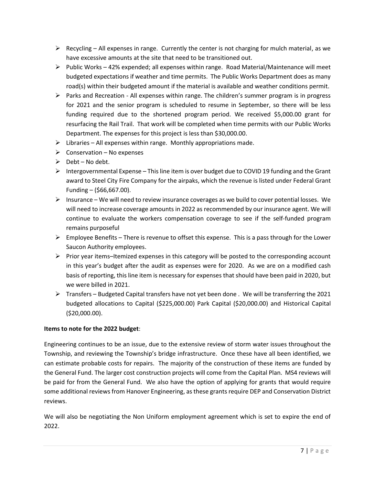- $\triangleright$  Recycling All expenses in range. Currently the center is not charging for mulch material, as we have excessive amounts at the site that need to be transitioned out.
- $\triangleright$  Public Works 42% expended; all expenses within range. Road Material/Maintenance will meet budgeted expectations if weather and time permits. The Public Works Department does as many road(s) within their budgeted amount if the material is available and weather conditions permit.
- $\triangleright$  Parks and Recreation All expenses within range. The children's summer program is in progress for 2021 and the senior program is scheduled to resume in September, so there will be less funding required due to the shortened program period. We received \$5,000.00 grant for resurfacing the Rail Trail. That work will be completed when time permits with our Public Works Department. The expenses for this project is less than \$30,000.00.
- $\triangleright$  Libraries All expenses within range. Monthly appropriations made.
- $\triangleright$  Conservation No expenses
- $\triangleright$  Debt No debt.
- $\triangleright$  Intergovernmental Expense This line item is over budget due to COVID 19 funding and the Grant award to Steel City Fire Company for the airpaks, which the revenue is listed under Federal Grant Funding – (\$66,667.00).
- $\triangleright$  Insurance We will need to review insurance coverages as we build to cover potential losses. We will need to increase coverage amounts in 2022 as recommended by our insurance agent. We will continue to evaluate the workers compensation coverage to see if the self-funded program remains purposeful
- $\triangleright$  Employee Benefits There is revenue to offset this expense. This is a pass through for the Lower Saucon Authority employees.
- $\triangleright$  Prior year items–Itemized expenses in this category will be posted to the corresponding account in this year's budget after the audit as expenses were for 2020. As we are on a modified cash basis of reporting, this line item is necessary for expenses that should have been paid in 2020, but we were billed in 2021.
- $\triangleright$  Transfers Budgeted Capital transfers have not yet been done . We will be transferring the 2021 budgeted allocations to Capital (\$225,000.00) Park Capital (\$20,000.00) and Historical Capital (\$20,000.00).

## **Items to note for the 2022 budget**:

Engineering continues to be an issue, due to the extensive review of storm water issues throughout the Township, and reviewing the Township's bridge infrastructure. Once these have all been identified, we can estimate probable costs for repairs. The majority of the construction of these items are funded by the General Fund. The larger cost construction projects will come from the Capital Plan. MS4 reviews will be paid for from the General Fund. We also have the option of applying for grants that would require some additional reviews from Hanover Engineering, as these grants require DEP and Conservation District reviews.

We will also be negotiating the Non Uniform employment agreement which is set to expire the end of 2022.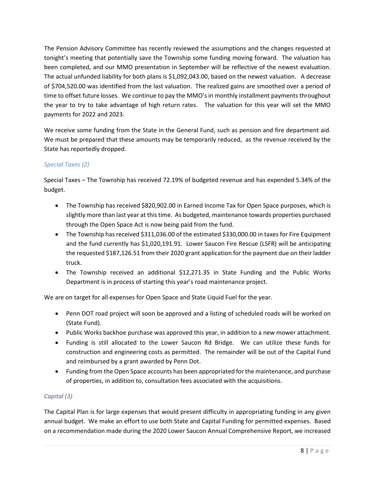The Pension Advisory Committee has recently reviewed the assumptions and the changes requested at tonight's meeting that potentially save the Township some funding moving forward. The valuation has been completed, and our MMO presentation in September will be reflective of the newest evaluation. The actual unfunded liability for both plans is \$1,092,043.00, based on the newest valuation. A decrease of \$704,520.00 was identified from the last valuation. The realized gains are smoothed over a period of time to offset future losses. We continue to pay the MMO's in monthly installment payments throughout the year to try to take advantage of high return rates. The valuation for this year will set the MMO payments for 2022 and 2023.

We receive some funding from the State in the General Fund, such as pension and fire department aid. We must be prepared that these amounts may be temporarily reduced, as the revenue received by the State has reportedly dropped.

## *Special Taxes (2)*

Special Taxes – The Township has received 72.19% of budgeted revenue and has expended 5.34% of the budget.

- The Township has received \$820,902.00 in Earned Income Tax for Open Space purposes, which is slightly more than last year at this time. As budgeted, maintenance towards properties purchased through the Open Space Act is now being paid from the fund.
- The Township has received \$311,036.00 of the estimated \$330,000.00 in taxes for Fire Equipment and the fund currently has \$1,020,191.91. Lower Saucon Fire Rescue (LSFR) will be anticipating the requested \$187,126.51 from their 2020 grant application for the payment due on their ladder truck.
- The Township received an additional \$12,271.35 in State Funding and the Public Works Department is in process of starting this year's road maintenance project.

We are on target for all expenses for Open Space and State Liquid Fuel for the year.

- Penn DOT road project will soon be approved and a listing of scheduled roads will be worked on (State Fund).
- Public Works backhoe purchase was approved this year, in addition to a new mower attachment.
- Funding is still allocated to the Lower Saucon Rd Bridge. We can utilize these funds for construction and engineering costs as permitted. The remainder will be out of the Capital Fund and reimbursed by a grant awarded by Penn Dot.
- Funding from the Open Space accounts has been appropriated for the maintenance, and purchase of properties, in addition to, consultation fees associated with the acquisitions.

## *Capital (3)*

The Capital Plan is for large expenses that would present difficulty in appropriating funding in any given annual budget. We make an effort to use both State and Capital Funding for permitted expenses. Based on a recommendation made during the 2020 Lower Saucon Annual Comprehensive Report, we increased